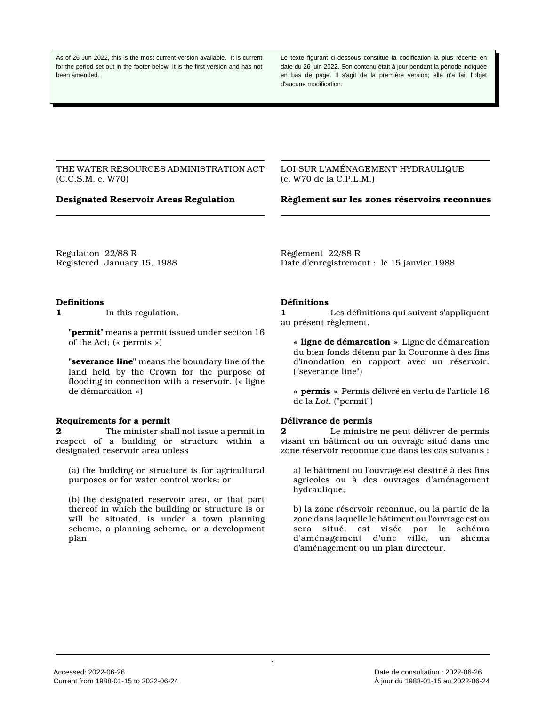As of 26 Jun 2022, this is the most current version available. It is current for the period set out in the footer below. It is the first version and has not been amended.

Le texte figurant ci-dessous constitue la codification la plus récente en date du 26 juin 2022. Son contenu était à jour pendant la période indiquée en bas de page. Il s'agit de la première version; elle n'a fait l'objet d'aucune modification.

THE WATER RESOURCES ADMINISTRATION ACT (C.C.S.M. c. W70)

LOI SUR L'AMÉNAGEMENT HYDRAULIQUE (c. W70 de la C.P.L.M.)

**Designated Reservoir Areas Regulation Règlement sur les zones réservoirs reconnues**

Regulation 22/88 R Registered January 15, 1988 Règlement 22/88 R Date d'enregistrement : le 15 janvier 1988

#### **Definitions**

**1** In this regulation,

**"permit"** means a permit issued under section 16 of the Act; (« permis »)

**"severance line"** means the boundary line of the land held by the Crown for the purpose of flooding in connection with a reservoir. (« ligne de démarcation »)

#### **Requirements for a permit**

**2** The minister shall not issue a permit in respect of a building or structure within a designated reservoir area unless

(a) the building or structure is for agricultural purposes or for water control works; or

(b) the designated reservoir area, or that part thereof in which the building or structure is or will be situated, is under a town planning scheme, a planning scheme, or a development plan.

#### **Définitions**

**1** Les définitions qui suivent s'appliquent au présent règlement.

**« ligne de démarcation »** Ligne de démarcation du bien-fonds détenu par la Couronne à des fins d'inondation en rapport avec un réservoir. ("severance line")

**« permis »** Permis délivré en vertu de l'article 16 de la *Loi*. ("permit")

#### **Délivrance de permis**

**2** Le ministre ne peut délivrer de permis visant un bâtiment ou un ouvrage situé dans une zone réservoir reconnue que dans les cas suivants :

a) le bâtiment ou l'ouvrage est destiné à des fins agricoles ou à des ouvrages d'aménagement hydraulique;

b) la zone réservoir reconnue, ou la partie de la zone dans laquelle le bâtiment ou l'ouvrage est ou sera situé, est visée par le schéma d'aménagement d'une ville, un shéma d'aménagement ou un plan directeur.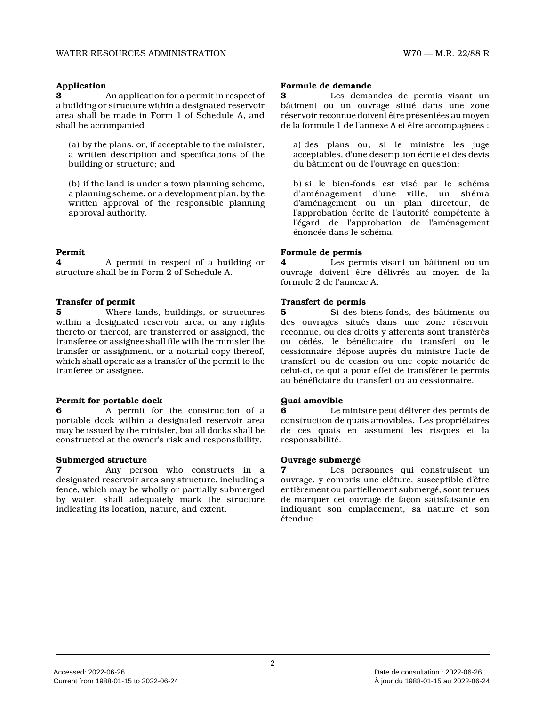# **Application**

**3** An application for a permit in respect of a building or structure within a designated reservoir area shall be made in Form 1 of Schedule A, and shall be accompanied

(a) by the plans, or, if acceptable to the minister, a written description and specifications of the building or structure; and

(b) if the land is under a town planning scheme, a planning scheme, or a development plan, by the written approval of the responsible planning approval authority.

# **Permit**

**4** A permit in respect of a building or structure shall be in Form 2 of Schedule A.

# **Transfer of permit**

**5** Where lands, buildings, or structures within a designated reservoir area, or any rights thereto or thereof, are transferred or assigned, th e transferee or assignee shall file with the minister the transfer or assignment, or a notarial copy thereof, which shall operate as a transfer of the permit to the tranferee or assignee.

# **Permit for portable dock**

**6** A permit for the construction of a portable dock within a designated reservoir area may be issued by the minister, but all docks shall be constructed at the owner's risk and responsibility.

# **Submerged structure**

**7** Any person who constructs in a designated reservoir area any structure, including a fence, which may be wholly or partially submerged by water, shall adequately mark the structure indicating its location, nature, and extent.

### **Formule de demande**

**3** Les demandes de permis visant un bâtiment ou un ouvrage situé dans une zone réservoir reconnue doivent être présentées au moyen de la formule 1 de l'annexe A et être accompagnées :

a) des plans ou, si le ministre les juge acceptables, d'une description écrite et des devis du bâtiment ou de l'ouvrage en question;

b) si le bien-fonds est visé par le schéma d'aménagement d'une ville, un shéma d'aménagement ou un plan directeur, de l'approbation écrite de l'autorité compétente à l'égard de l'approbation de l'aménagement énoncée dans le schéma.

# **Formule de permis**

**4** Les permis visant un bâtiment ou un ouvrage doivent être délivrés au moyen de la formule 2 de l'annexe A.

# **Transfert de permis**

**5** Si des biens-fonds, des bâtiments ou des ouvrages situés dans une zone réservoir reconnue, ou des droits y afférents sont transférés ou cédés, le bénéficiaire du transfert ou le cessionnaire dépose auprès du ministre l'acte de transfert ou de cession ou une copie notariée de celui-ci, ce qui a pour effet de transférer le permis au bénéficiaire du transfert ou au cessionnaire.

# **Quai amovible**

**6** Le ministre peut délivrer des permis de construction de quais amovibles. Les propriétaires de ces quais en assument les risques et la responsabilité.

# **Ouvrage submergé**

Les personnes qui construisent un ouvrage, y compris une clôture, susceptible d'être entièrement ou partiellement submergé, sont tenues de marquer cet ouvrage de façon satisfaisante en indiquant son emplacement, sa nature et son étendue.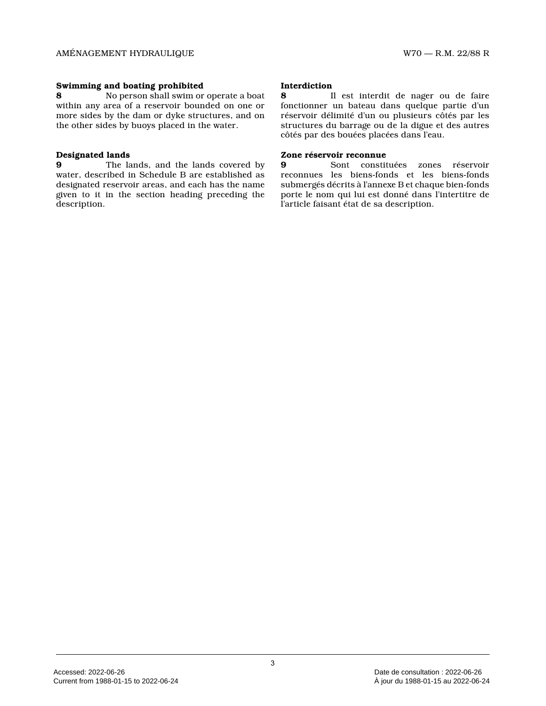### **Swimming and boating prohibited**

**8** No person shall swim or operate a boat within any area of a reservoir bounded on one or more sides by the dam or dyke structures, and on the other sides by buoys placed in the water.

# **Designated lands**

**9** The lands, and the lands covered by water, described in Schedule B are established as designated reservoir areas, and each has the name given to it in the section heading preceding the description.

#### **Interdiction**

**8** Il est interdit de nager ou de faire fonctionner un bateau dans quelque partie d'un réservoir délimité d'un ou plusieurs côtés par les structures du barrage ou de la digue et des autres côtés par des bouées placées dans l'eau.

#### **Zone réservoir reconnue**

**9** Sont constituées zones réservoir reconnues les biens-fonds et les biens-fonds submergés décrits à l'annexe B et chaque bien-fonds porte le nom qui lui est donné dans l'intertitre de l'article faisant état de sa description.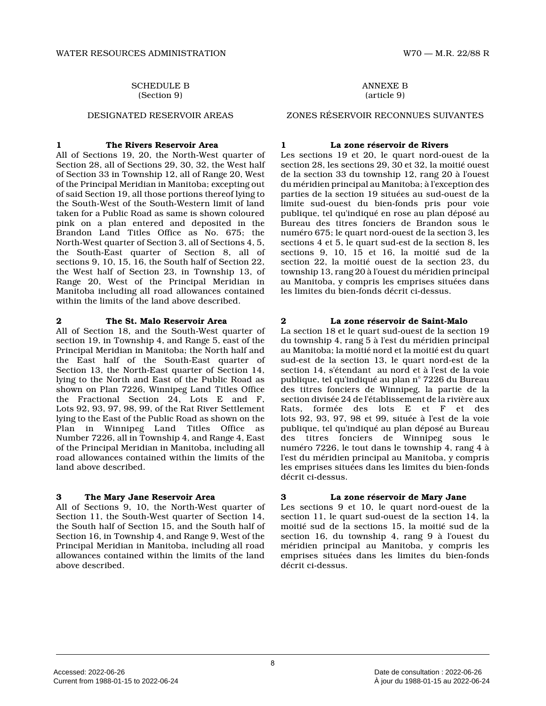# SCHEDULE B

(Section 9)

# **1 The Rivers Reservoir Area**

All of Sections 19, 20, the North-West quarter of Section 28, all of Sections 29, 30, 32, the West half of Section 33 in Township 12, all of Range 20, West of the Principal Meridian in Manitoba; excepting ou t of said Section 19, all those portions thereof lying to the South-West of the South-Western limit of land taken for a Public Road as same is shown coloured pink on a plan entered and deposited in the Brandon Land Titles Office as No. 675; the North-West quarter of Section 3, all of Sections 4, 5, the South-East quarter of Section 8, all of sections 9, 10, 15, 16, the South half of Section 22, the West half of Section 23, in Township 13, of Range 20, West of the Principal Meridian in Manitoba including all road allowances contained within the limits of the land above described.

# **2 The St. Malo Reservoir Area**

All of Section 18, and the South-West quarter of section 19, in Township 4, and Range 5, east of the Principal Meridian in Manitoba; the North half and the East half of the South-East quarter of Section 13, the North-East quarter of Section 14, lying to the North and East of the Public Road as shown on Plan 7226, Winnipeg Land Titles Office the Fractional Section 24, Lots E and F, Lots 92, 93, 97, 98, 99, of the Rat River Settlemen t lying to the East of the Public Road as shown on th e Plan in Winnipeg Land Titles Office as Number 7226, all in Township 4, and Range 4, East of the Principal Meridian in Manitoba, including al l road allowances contained within the limits of the land above described.

# **3 The Mary Jane Reservoir Area**

All of Sections 9, 10, the North-West quarter of Section 11, the South-West quarter of Section 14, the South half of Section 15, and the South half of Section 16, in Township 4, and Range 9, West of the Principal Meridian in Manitoba, including all road allowances contained within the limits of the land above described.

ANNEXE B (article 9)

#### DESIGNATED RESERVOIR AREAS ZONES RÉSERVOIR RECONNUES SUIVANTES

# **1 La zone réservoir de Rivers**

Les sections 19 et 20, le quart nord-ouest de la section 28, les sections 29, 30 et 32, la moitié ouest de la section 33 du township 12, rang 20 à l'ouest du méridien principal au Manitoba; à l'exception de s parties de la section 19 situées au sud-ouest de la limite sud-ouest du bien-fonds pris pour voie publique, tel qu'indiqué en rose au plan déposé au Bureau des titres fonciers de Brandon sous le numéro 675; le quart nord-ouest de la section 3, le s sections 4 et 5, le quart sud-est de la section 8, les sections 9, 10, 15 et 16, la moitié sud de la section 22, la moitié ouest de la section 23, du township 13, rang 20 à l'ouest du méridien principa l au Manitoba, y compris les emprises situées dans les limites du bien-fonds décrit ci-dessus.

# **2 La zone réservoir de Saint-Malo**

La section 18 et le quart sud-ouest de la section 1 9 du township 4, rang 5 à l'est du méridien principal au Manitoba; la moitié nord et la moitié est du quart sud-est de la section 13, le quart nord-est de la section 14, s'étendant au nord et à l'est de la voie publique, tel qu'indiqué au plan n° 7226 du Bureau des titres fonciers de Winnipeg, la partie de la section divisée 24 de l'établissement de la rivière aux Rats, formée des lots E et F et des lots 92, 93, 97, 98 et 99, située à l'est de la voi e publique, tel qu'indiqué au plan déposé au Bureau des titres fonciers de Winnipeg sous le numéro 7226, le tout dans le township 4, rang 4 à l'est du méridien principal au Manitoba, y compris les emprises situées dans les limites du bien-fonds décrit ci-dessus.

# **3 La zone réservoir de Mary Jane**

Les sections 9 et 10, le quart nord-ouest de la section 11, le quart sud-ouest de la section 14, la moitié sud de la sections 15, la moitié sud de la section 16, du township 4, rang 9 à l'ouest du méridien principal au Manitoba, y compris les emprises situées dans les limites du bien-fonds décrit ci-dessus.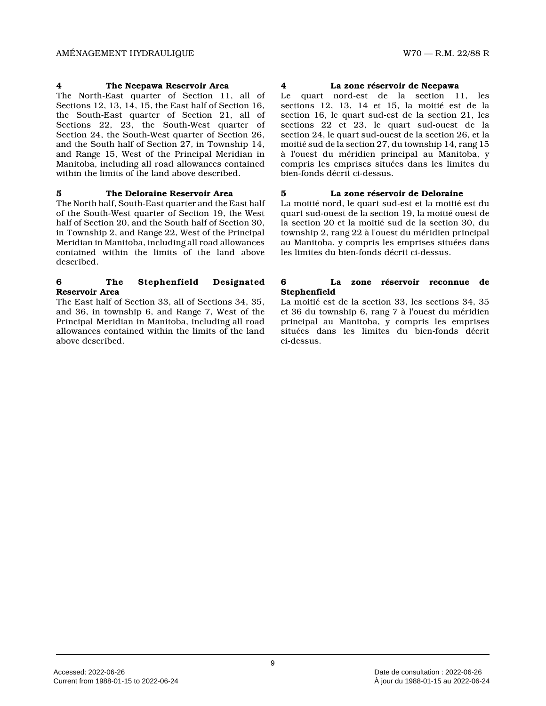#### **4 The Neepawa Reservoir Area**

The North-East quarter of Section 11, all of Sections 12, 13, 14, 15, the East half of Section 16, the South-East quarter of Section 21, all of Sections 22, 23, the South-West quarter of Section 24, the South-West quarter of Section 26, and the South half of Section 27, in Township 14, and Range 15, West of the Principal Meridian in Manitoba, including all road allowances contained within the limits of the land above described.

#### **5 The Deloraine Reservoir Area**

The North half, South-East quarter and the East hal f of the South-West quarter of Section 19, the West half of Section 20, and the South half of Section 30, in Township 2, and Range 22, West of the Principal Meridian in Manitoba, including all road allowances contained within the limits of the land above described.

#### **6 The Stephenfield Designated Reservoir Area**

The East half of Section 33, all of Sections 34, 35 , and 36, in township 6, and Range 7, West of the Principal Meridian in Manitoba, including all road allowances contained within the limits of the land above described.

#### **4 La zone réservoir de Neepawa**

Le quart nord-est de la section 11, les sections 12, 13, 14 et 15, la moitié est de la section 16, le quart sud-est de la section 21, les sections 22 et 23, le quart sud-ouest de la section 24, le quart sud-ouest de la section 26, et la moitié sud de la section 27, du township 14, rang 1 5 à l'ouest du méridien principal au Manitoba, y compris les emprises situées dans les limites du bien-fonds décrit ci-dessus.

# **5 La zone réservoir de Deloraine**

La moitié nord, le quart sud-est et la moitié est d u quart sud-ouest de la section 19, la moitié ouest d e la section 20 et la moitié sud de la section 30, du township 2, rang 22 à l'ouest du méridien principal au Manitoba, y compris les emprises situées dans les limites du bien-fonds décrit ci-dessus.

#### **6 La zone réservoir reconnue de Stephenfield**

La moitié est de la section 33, les sections 34, 35 et 36 du township 6, rang 7 à l'ouest du méridien principal au Manitoba, y compris les emprises situées dans les limites du bien-fonds décrit ci-dessus.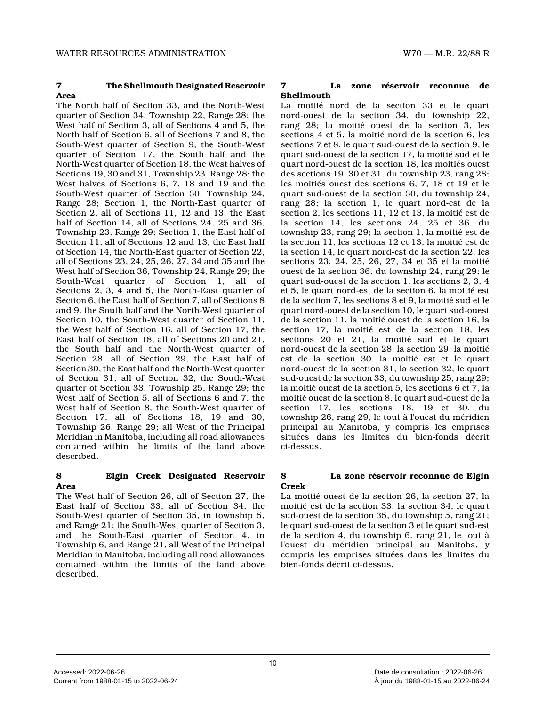# **7 The Shellmouth Designated Reservoir Area**

The North half of Section 33, and the North-West quarter of Section 34, Township 22, Range 28; the West half of Section 3, all of Sections 4 and 5, th e North half of Section 6, all of Sections 7 and 8, the South-West quarter of Section 9, the South-West quarter of Section 17, the South half and the North-West quarter of Section 18, the West halves o f Sections 19, 30 and 31, Township 23, Range 28; the West halves of Sections 6, 7, 18 and 19 and the South-West quarter of Section 30, Township 24, Range 28; Section 1, the North-East quarter of Section 2, all of Sections 11, 12 and 13, the East half of Section 14, all of Sections 24, 25 and 36, Township 23, Range 29; Section 1, the East half of Section 11, all of Sections 12 and 13, the East hal f of Section 14, the North-East quarter of Section 22 , all of Sections 23, 24, 25, 26, 27, 34 and 35 and the West half of Section 36, Township 24, Range 29; the South-West quarter of Section 1, all of Sections 2, 3, 4 and 5, the North-East quarter of Section 6, the East half of Section 7, all of Sections 8 and 9, the South half and the North-West quarter of Section 10, the South-West quarter of Section 11, the West half of Section 16, all of Section 17, the East half of Section 18, all of Sections 20 and 21, the South half and the North-West quarter of Section 28, all of Section 29, the East half of Section 30, the East half and the North-West quarte r of Section 31, all of Section 32, the South-West quarter of Section 33, Township 25, Range 29; the West half of Section 5, all of Sections 6 and 7, th e West half of Section 8, the South-West quarter of Section 17, all of Sections 18, 19 and 30, Township 26, Range 29; all West of the Principal Meridian in Manitoba, including all road allowances contained within the limits of the land above described.

# **8 Elgin Creek Designated Reservoir Area**

The West half of Section 26, all of Section 27, the East half of Section 33, all of Section 34, the South-West quarter of Section 35, in township 5, and Range 21; the South-West quarter of Section 3, and the South-East quarter of Section 4, in Township 6, and Range 21, all West of the Principal Meridian in Manitoba, including all road allowances contained within the limits of the land above described.

#### **7 La zone réservoir reconnue de Shellmouth**

La moitié nord de la section 33 et le quart nord-ouest de la section 34, du township 22, rang 28; la moitié ouest de la section 3, les sections 4 et 5, la moitié nord de la section 6, le s sections 7 et 8, le quart sud-ouest de la section 9, le quart sud-ouest de la section 17, la moitié sud et le quart nord-ouest de la section 18, les moitiés oues t des sections 19, 30 et 31, du township 23, rang 28; les moitiés ouest des sections 6, 7, 18 et 19 et le quart sud-ouest de la section 30, du township 24, rang 28; la section 1, le quart nord-est de la section 2, les sections 11, 12 et 13, la moitié est de la section 14, les sections 24, 25 et 36, du township 23, rang 29; la section 1, la moitié est d e la section 11, les sections 12 et 13, la moitié est de la section 14, le quart nord-est de la section 22, les sections 23, 24, 25, 26, 27, 34 et 35 et la moitié ouest de la section 36, du township 24, rang 29; le quart sud-ouest de la section 1, les sections 2, 3, 4 et 5, le quart nord-est de la section 6, la moitié est de la section 7, les sections 8 et 9, la moitié sud et le quart nord-ouest de la section 10, le quart sud-ouest de la section 11, la moitié ouest de la section 16, la section 17, la moitié est de la section 18, les sections 20 et 21, la moitié sud et le quart nord-ouest de la section 28, la section 29, la moitié est de la section 30, la moitié est et le quart nord-ouest de la section 31, la section 32, le quar t sud-ouest de la section 33, du township 25, rang 29 ; la moitié ouest de la section 5, les sections 6 et 7, la moitié ouest de la section 8, le quart sud-ouest de la section 17, les sections 18, 19 et 30, du township 26, rang 29, le tout à l'ouest du méridien principal au Manitoba, y compris les emprises situées dans les limites du bien-fonds décrit ci-dessus.

#### **8 La zone réservoir reconnue de Elgin Creek**

La moitié ouest de la section 26, la section 27, la moitié est de la section 33, la section 34, le quar t sud-ouest de la section 35, du township 5, rang 21; le quart sud-ouest de la section 3 et le quart sud-est de la section 4, du township 6, rang 21, le tout à l'ouest du méridien principal au Manitoba, y compris les emprises situées dans les limites du bien-fonds décrit ci-dessus.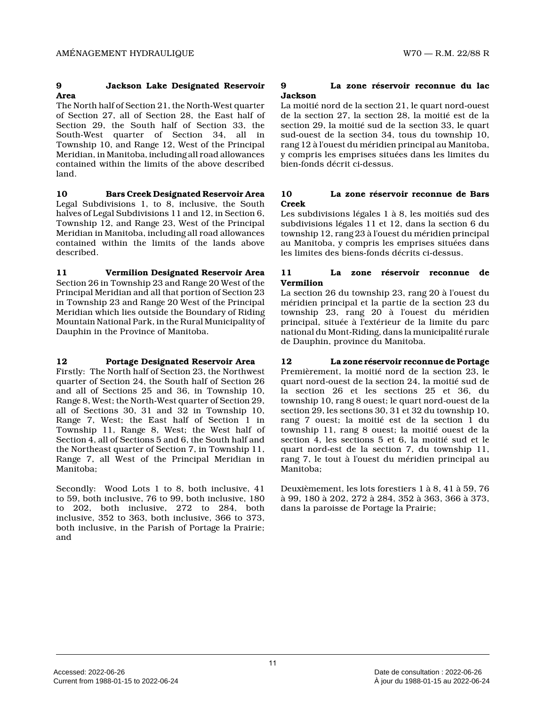# **9 Jackson Lake Designated Reservoir Area**

The North half of Section 21, the North-West quarte r of Section 27, all of Section 28, the East half of Section 29, the South half of Section 33, the South-West quarter of Section 34, all in Township 10, and Range 12, West of the Principal Meridian, in Manitoba, including all road allowance s contained within the limits of the above described land.

**10 Bars Creek Designated Reservoir Area** Legal Subdivisions 1, to 8, inclusive, the South halves of Legal Subdivisions 11 and 12, in Section 6, Township 12, and Range 23, West of the Principal Meridian in Manitoba, including all road allowances contained within the limits of the lands above described.

**11 Vermilion Designated Reservoir Area** Section 26 in Township 23 and Range 20 West of the Principal Meridian and all that portion of Section 23 in Township 23 and Range 20 West of the Principal Meridian which lies outside the Boundary of Riding Mountain National Park, in the Rural Municipality o f Dauphin in the Province of Manitoba.

# **12 Portage Designated Reservoir Area**

Firstly: The North half of Section 23, the Northwest quarter of Section 24, the South half of Section 26 and all of Sections 25 and 36, in Township 10, Range 8, West; the North-West quarter of Section 29 , all of Sections 30, 31 and 32 in Township 10, Range 7, West; the East half of Section 1 in Township 11, Range 8, West; the West half of Section 4, all of Sections 5 and 6, the South half and the Northeast quarter of Section 7, in Township 11, Range 7, all West of the Principal Meridian in Manitoba;

Secondly: Wood Lots 1 to 8, both inclusive, 41 to 59, both inclusive, 76 to 99, both inclusive, 18 0 to 202, both inclusive, 272 to 284, both inclusive, 352 to 363, both inclusive, 366 to 373, both inclusive, in the Parish of Portage la Prairie ; and

# **9 La zone réservoir reconnue du lac Jackson**

La moitié nord de la section 21, le quart nord-oues t de la section 27, la section 28, la moitié est de l a section 29, la moitié sud de la section 33, le quar t sud-ouest de la section 34, tous du township 10, rang 12 à l'ouest du méridien principal au Manitoba , y compris les emprises situées dans les limites du bien-fonds décrit ci-dessus.

# **10 La zone réservoir reconnue de Bars Creek**

Les subdivisions légales 1 à 8, les moitiés sud des subdivisions légales 11 et 12, dans la section 6 du township 12, rang 23 à l'ouest du méridien principa l au Manitoba, y compris les emprises situées dans les limites des biens-fonds décrits ci-dessus.

# **11 La zone réservoir reconnue de Vermilion**

La section 26 du township 23, rang 20 à l'ouest du méridien principal et la partie de la section 23 du township 23, rang 20 à l'ouest du méridien principal, située à l'extérieur de la limite du par c national du Mont-Riding, dans la municipalité rural e de Dauphin, province du Manitoba.

#### **12 La zone réservoir reconnue de Portage** Premièrement, la moitié nord de la section 23, le quart nord-ouest de la section 24, la moitié sud de la section 26 et les sections 25 et 36, du township 10, rang 8 ouest; le quart nord-ouest de l a section 29, les sections 30, 31 et 32 du township 10, rang 7 ouest; la moitié est de la section 1 du township 11, rang 8 ouest; la moitié ouest de la section 4, les sections 5 et 6, la moitié sud et le quart nord-est de la section 7, du township 11, rang 7, le tout à l'ouest du méridien principal au Manitoba;

Deuxièmement, les lots forestiers 1 à 8, 41 à 59, 7 6 à 99, 180 à 202, 272 à 284, 352 à 363, 366 à 373, dans la paroisse de Portage la Prairie;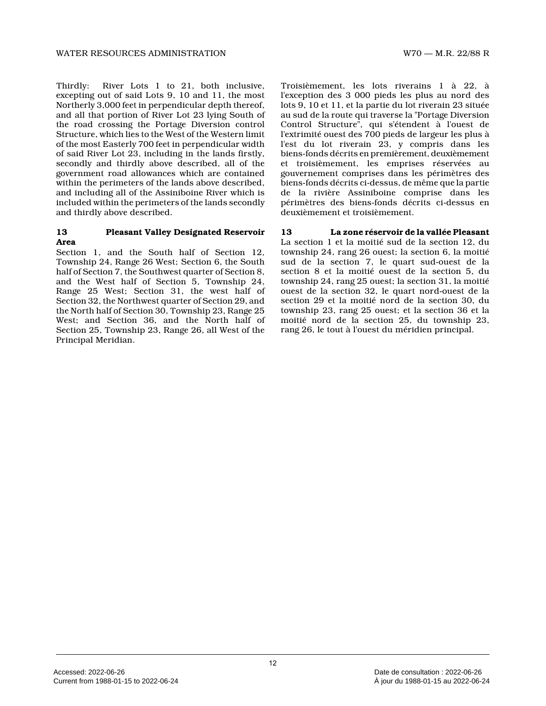Thirdly: River Lots 1 to 21, both inclusive, excepting out of said Lots 9, 10 and 11, the most Northerly 3,000 feet in perpendicular depth thereof , and all that portion of River Lot 23 lying South of the road crossing the Portage Diversion control Structure, which lies to the West of the Western limit of the most Easterly 700 feet in perpendicular widt h of said River Lot 23, including in the lands firstly, secondly and thirdly above described, all of the government road allowances which are contained within the perimeters of the lands above described, and including all of the Assiniboine River which is included within the perimeters of the lands secondl y and thirdly above described.

#### **13 Pleasant Valley Designated Reservoir Area**

Section 1, and the South half of Section 12. Township 24, Range 26 West; Section 6, the South half of Section 7, the Southwest quarter of Section 8, and the West half of Section 5, Township 24, Range 25 West; Section 31, the west half of Section 32, the Northwest quarter of Section 29, an d the North half of Section 30, Township 23, Range 25 West; and Section 36, and the North half of Section 25, Township 23, Range 26, all West of the Principal Meridian.

Troisièmement, les lots riverains 1 à 22, à l'exception des 3 000 pieds les plus au nord des lots 9, 10 et 11, et la partie du lot riverain 23 située au sud de la route qui traverse la "Portage Diversion Control Structure", qui s'étendent à l'ouest de l'extrimité ouest des 700 pieds de largeur les plus à l'est du lot riverain 23, y compris dans les biens-fonds décrits en premièrement, deuxièmement et troisièmement, les emprises réservées au gouvernement comprises dans les périmètres des biens-fonds décrits ci-dessus, de même que la parti e de la rivière Assiniboine comprise dans les périmètres des biens-fonds décrits ci-dessus en deuxièmement et troisièmement.

**13 La zone réservoir de la vallée Pleasant** La section 1 et la moitié sud de la section 12, du township 24, rang 26 ouest; la section 6, la moitié sud de la section 7, le quart sud-ouest de la section 8 et la moitié ouest de la section 5, du township 24, rang 25 ouest; la section 31, la moiti é ouest de la section 32, le quart nord-ouest de la section 29 et la moitié nord de la section 30, du township 23, rang 25 ouest; et la section 36 et la moitié nord de la section 25, du township 23, rang 26, le tout à l'ouest du méridien principal.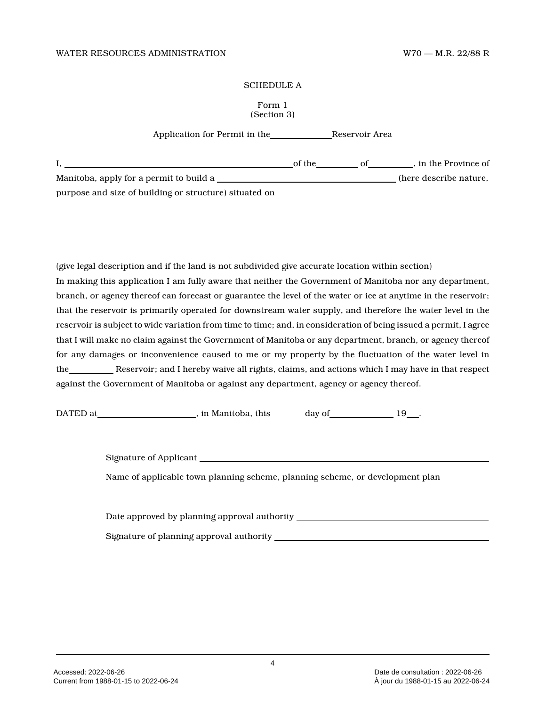#### SCHEDULE A

#### Form 1 (Section 3)

Application for Permit in the Reservoir Area

|                                                        | of the | . in the Province of   |
|--------------------------------------------------------|--------|------------------------|
| Manitoba, apply for a permit to build a                |        | (here describe nature, |
| purpose and size of building or structure) situated on |        |                        |

(give legal description and if the land is not subdivided give accurate location within section) In making this application I am fully aware that neither the Government of Manitoba nor any department , branch, or agency thereof can forecast or guarantee the level of the water or ice at anytime in the reservoir; that the reservoir is primarily operated for downstream water supply, and therefore the water level in the reservoir is subject to wide variation from time to time; and, in consideration of being issued a permit, I agree that I will make no claim against the Government of Manitoba or any department, branch, or agency thereof for any damages or inconvenience caused to me or my property by the fluctuation of the water level in the Reservoir; and I hereby waive all rights, claims, and actions which I may have in that respect against the Government of Manitoba or against any department, agency or agency thereof.

DATED at  $\qquad \qquad$  , in Manitoba, this

day of 19 and 19 and 19 and 19 and 19 and 19 and 19 and 19 and 19 and 19 and 19 and 19 and 19 and 19 and 19 and 19 and 19 and 19 and 19 and 19 and 19 and 19 and 19 and 19 and 19 and 19 and 19 and 19 and 19 and 19 and 19 an

| Signature of Applicant                                                        |  |  |
|-------------------------------------------------------------------------------|--|--|
| Name of applicable town planning scheme, planning scheme, or development plan |  |  |
|                                                                               |  |  |
| Date approved by planning approval authority ______                           |  |  |
|                                                                               |  |  |

Signature of planning approval authority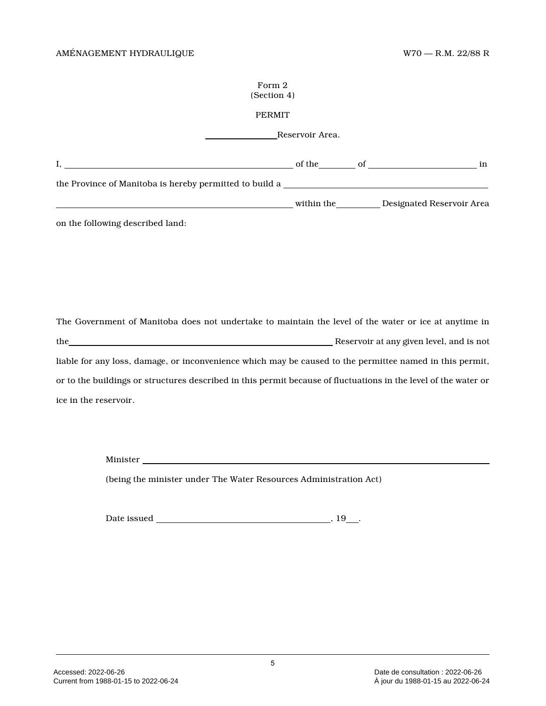#### Form 2 (Section 4)

# PERMIT

Reservoir Area.

|                                                         | of the     | in                        |
|---------------------------------------------------------|------------|---------------------------|
| the Province of Manitoba is hereby permitted to build a |            |                           |
|                                                         | within the | Designated Reservoir Area |

on the following described land:

The Government of Manitoba does not undertake to maintain the level of the water or ice at anytime in the Reservoir at any given level, and is not liable for any loss, damage, or inconvenience which may be caused to the permittee named in this permit, or to the buildings or structures described in this permit because of fluctuations in the level of the water or ice in the reservoir.

Minister

(being the minister under The Water Resources Administration Act)

Date issued , 19 .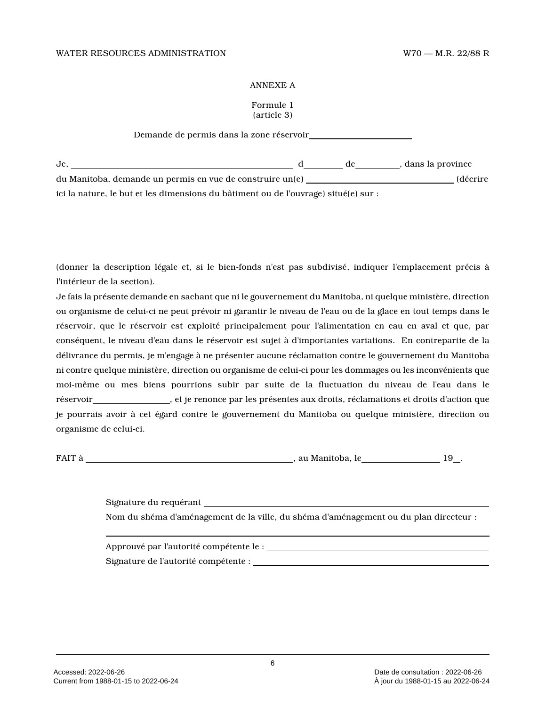#### ANNEXE A

#### Formule 1 (article 3)

Demande de permis dans la zone réservoir

| Je.                                                                                 | de | , dans la province |
|-------------------------------------------------------------------------------------|----|--------------------|
| du Manitoba, demande un permis en vue de construire un(e)                           |    | (décrire           |
| ici la nature, le but et les dimensions du bâtiment ou de l'ouvrage) situé(e) sur : |    |                    |

(donner la description légale et, si le bien-fonds n'est pas subdivisé, indiquer l'emplacement précis à l'intérieur de la section).

Je fais la présente demande en sachant que ni le gouvernement du Manitoba, ni quelque ministère, direction ou organisme de celui-ci ne peut prévoir ni garantir le niveau de l'eau ou de la glace en tout temps dans le réservoir, que le réservoir est exploité principalement pour l'alimentation en eau en aval et que, par conséquent, le niveau d'eau dans le réservoir est sujet à d'importantes variations. En contrepartie de la délivrance du permis, je m'engage à ne présenter aucune réclamation contre le gouvernement du Manitoba ni contre quelque ministère, direction ou organisme de celui-ci pour les dommages ou les inconvénients que moi-même ou mes biens pourrions subir par suite de la fluctuation du niveau de l'eau dans le réservoir , et je renonce par les présentes aux droits, réclamations et droits d'action que je pourrais avoir à cet égard contre le gouvernement du Manitoba ou quelque ministère, direction ou organisme de celui-ci.

FAIT à , au Manitoba, le 19 .

Signature du requérant Nom du shéma d'aménagement de la ville, du shéma d'aménagement ou du plan directeur :

Approuvé par l'autorité compétente le : Signature de l'autorité compétente :